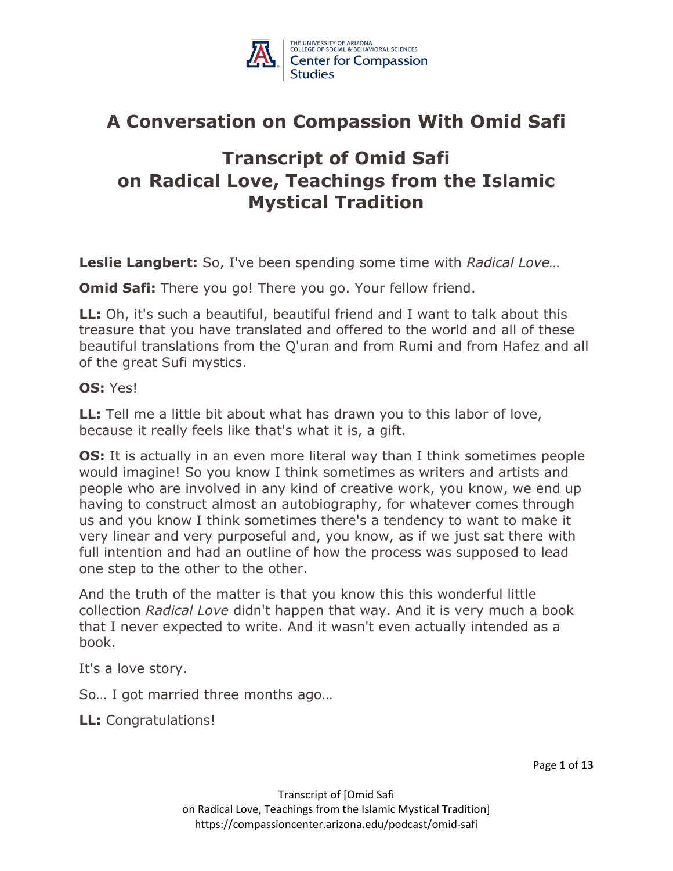

### **A Conversation on Compassion With Omid Safi**

### **Transcript of Omid Safi on Radical Love, Teachings from the Islamic Mystical Tradition**

**Leslie Langbert:** So, I've been spending some time with *Radical Love…*

**Omid Safi:** There you go! There you go. Your fellow friend.

**LL:** Oh, it's such a beautiful, beautiful friend and I want to talk about this treasure that you have translated and offered to the world and all of these beautiful translations from the Q'uran and from Rumi and from Hafez and all of the great Sufi mystics.

### **OS:** Yes!

**LL:** Tell me a little bit about what has drawn you to this labor of love, because it really feels like that's what it is, a gift.

**OS:** It is actually in an even more literal way than I think sometimes people would imagine! So you know I think sometimes as writers and artists and people who are involved in any kind of creative work, you know, we end up having to construct almost an autobiography, for whatever comes through us and you know I think sometimes there's a tendency to want to make it very linear and very purposeful and, you know, as if we just sat there with full intention and had an outline of how the process was supposed to lead one step to the other to the other.

And the truth of the matter is that you know this this wonderful little collection *Radical Love* didn't happen that way. And it is very much a book that I never expected to write. And it wasn't even actually intended as a book.

It's a love story.

So… I got married three months ago…

**LL:** Congratulations!

Page **1** of **13**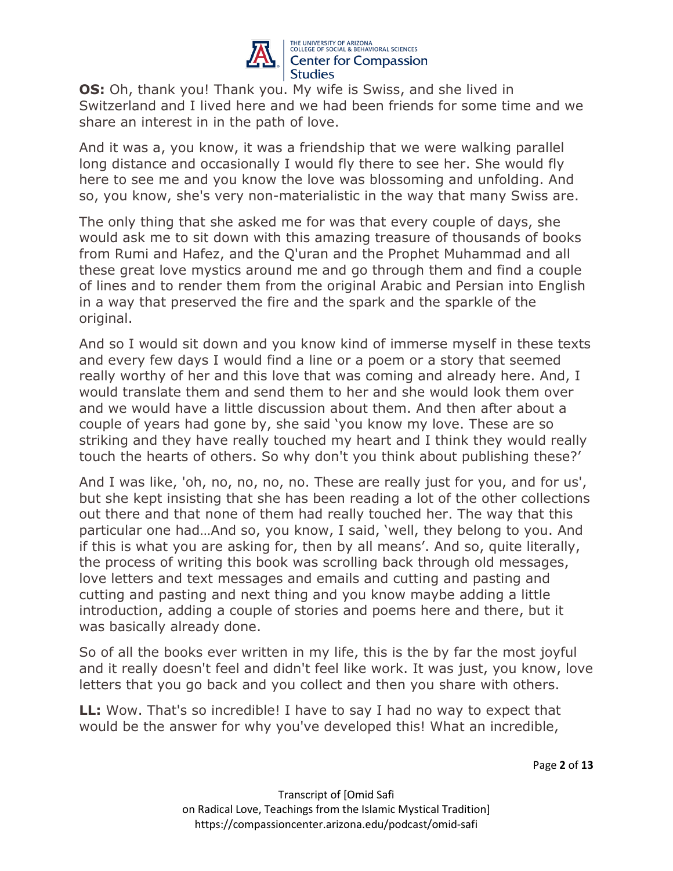

**OS:** Oh, thank you! Thank you. My wife is Swiss, and she lived in Switzerland and I lived here and we had been friends for some time and we share an interest in in the path of love.

And it was a, you know, it was a friendship that we were walking parallel long distance and occasionally I would fly there to see her. She would fly here to see me and you know the love was blossoming and unfolding. And so, you know, she's very non-materialistic in the way that many Swiss are.

The only thing that she asked me for was that every couple of days, she would ask me to sit down with this amazing treasure of thousands of books from Rumi and Hafez, and the Q'uran and the Prophet Muhammad and all these great love mystics around me and go through them and find a couple of lines and to render them from the original Arabic and Persian into English in a way that preserved the fire and the spark and the sparkle of the original.

And so I would sit down and you know kind of immerse myself in these texts and every few days I would find a line or a poem or a story that seemed really worthy of her and this love that was coming and already here. And, I would translate them and send them to her and she would look them over and we would have a little discussion about them. And then after about a couple of years had gone by, she said 'you know my love. These are so striking and they have really touched my heart and I think they would really touch the hearts of others. So why don't you think about publishing these?'

And I was like, 'oh, no, no, no, no. These are really just for you, and for us', but she kept insisting that she has been reading a lot of the other collections out there and that none of them had really touched her. The way that this particular one had…And so, you know, I said, 'well, they belong to you. And if this is what you are asking for, then by all means'. And so, quite literally, the process of writing this book was scrolling back through old messages, love letters and text messages and emails and cutting and pasting and cutting and pasting and next thing and you know maybe adding a little introduction, adding a couple of stories and poems here and there, but it was basically already done.

So of all the books ever written in my life, this is the by far the most joyful and it really doesn't feel and didn't feel like work. It was just, you know, love letters that you go back and you collect and then you share with others.

**LL:** Wow. That's so incredible! I have to say I had no way to expect that would be the answer for why you've developed this! What an incredible,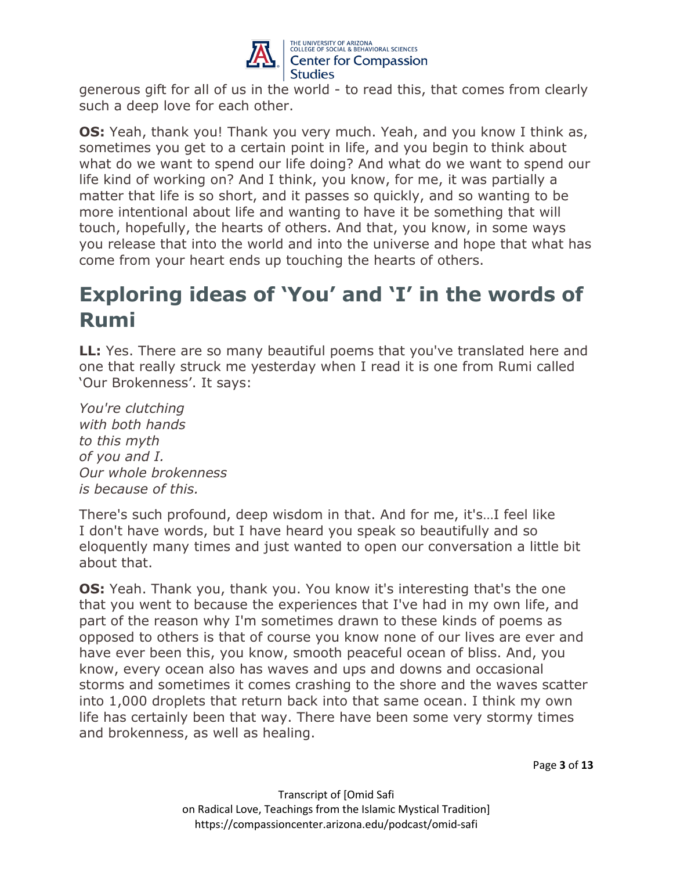

generous gift for all of us in the world - to read this, that comes from clearly such a deep love for each other.

**OS:** Yeah, thank you! Thank you very much. Yeah, and you know I think as, sometimes you get to a certain point in life, and you begin to think about what do we want to spend our life doing? And what do we want to spend our life kind of working on? And I think, you know, for me, it was partially a matter that life is so short, and it passes so quickly, and so wanting to be more intentional about life and wanting to have it be something that will touch, hopefully, the hearts of others. And that, you know, in some ways you release that into the world and into the universe and hope that what has come from your heart ends up touching the hearts of others.

# **Exploring ideas of 'You' and 'I' in the words of Rumi**

**LL:** Yes. There are so many beautiful poems that you've translated here and one that really struck me yesterday when I read it is one from Rumi called 'Our Brokenness'. It says:

*You're clutching with both hands to this myth of you and I. Our whole brokenness is because of this.*

There's such profound, deep wisdom in that. And for me, it's…I feel like I don't have words, but I have heard you speak so beautifully and so eloquently many times and just wanted to open our conversation a little bit about that.

**OS:** Yeah. Thank you, thank you. You know it's interesting that's the one that you went to because the experiences that I've had in my own life, and part of the reason why I'm sometimes drawn to these kinds of poems as opposed to others is that of course you know none of our lives are ever and have ever been this, you know, smooth peaceful ocean of bliss. And, you know, every ocean also has waves and ups and downs and occasional storms and sometimes it comes crashing to the shore and the waves scatter into 1,000 droplets that return back into that same ocean. I think my own life has certainly been that way. There have been some very stormy times and brokenness, as well as healing.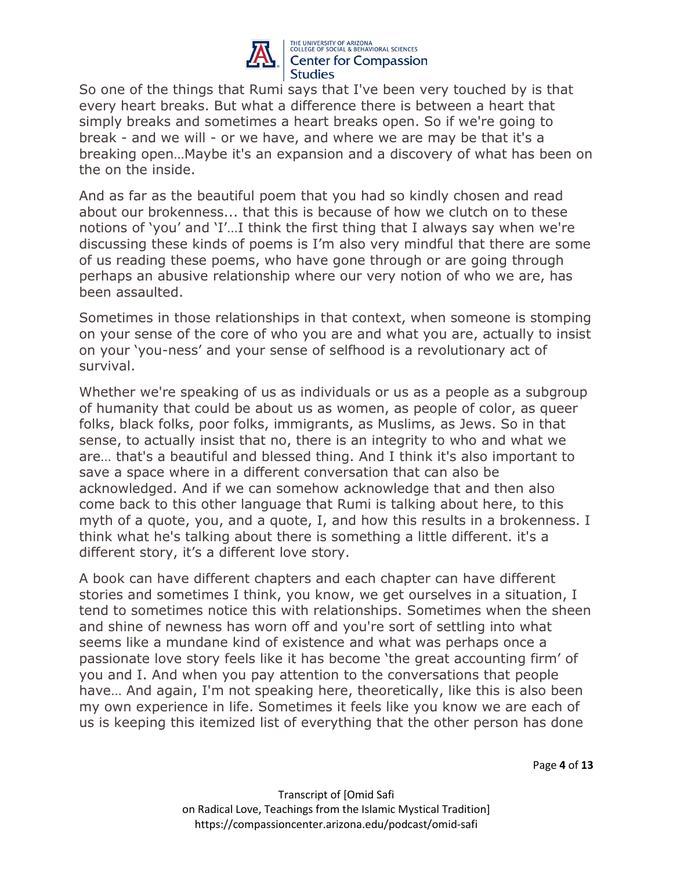

So one of the things that Rumi says that I've been very touched by is that every heart breaks. But what a difference there is between a heart that simply breaks and sometimes a heart breaks open. So if we're going to break - and we will - or we have, and where we are may be that it's a breaking open…Maybe it's an expansion and a discovery of what has been on the on the inside.

And as far as the beautiful poem that you had so kindly chosen and read about our brokenness... that this is because of how we clutch on to these notions of 'you' and 'I'…I think the first thing that I always say when we're discussing these kinds of poems is I'm also very mindful that there are some of us reading these poems, who have gone through or are going through perhaps an abusive relationship where our very notion of who we are, has been assaulted.

Sometimes in those relationships in that context, when someone is stomping on your sense of the core of who you are and what you are, actually to insist on your 'you-ness' and your sense of selfhood is a revolutionary act of survival.

Whether we're speaking of us as individuals or us as a people as a subgroup of humanity that could be about us as women, as people of color, as queer folks, black folks, poor folks, immigrants, as Muslims, as Jews. So in that sense, to actually insist that no, there is an integrity to who and what we are… that's a beautiful and blessed thing. And I think it's also important to save a space where in a different conversation that can also be acknowledged. And if we can somehow acknowledge that and then also come back to this other language that Rumi is talking about here, to this myth of a quote, you, and a quote, I, and how this results in a brokenness. I think what he's talking about there is something a little different. it's a different story, it's a different love story.

A book can have different chapters and each chapter can have different stories and sometimes I think, you know, we get ourselves in a situation, I tend to sometimes notice this with relationships. Sometimes when the sheen and shine of newness has worn off and you're sort of settling into what seems like a mundane kind of existence and what was perhaps once a passionate love story feels like it has become 'the great accounting firm' of you and I. And when you pay attention to the conversations that people have… And again, I'm not speaking here, theoretically, like this is also been my own experience in life. Sometimes it feels like you know we are each of us is keeping this itemized list of everything that the other person has done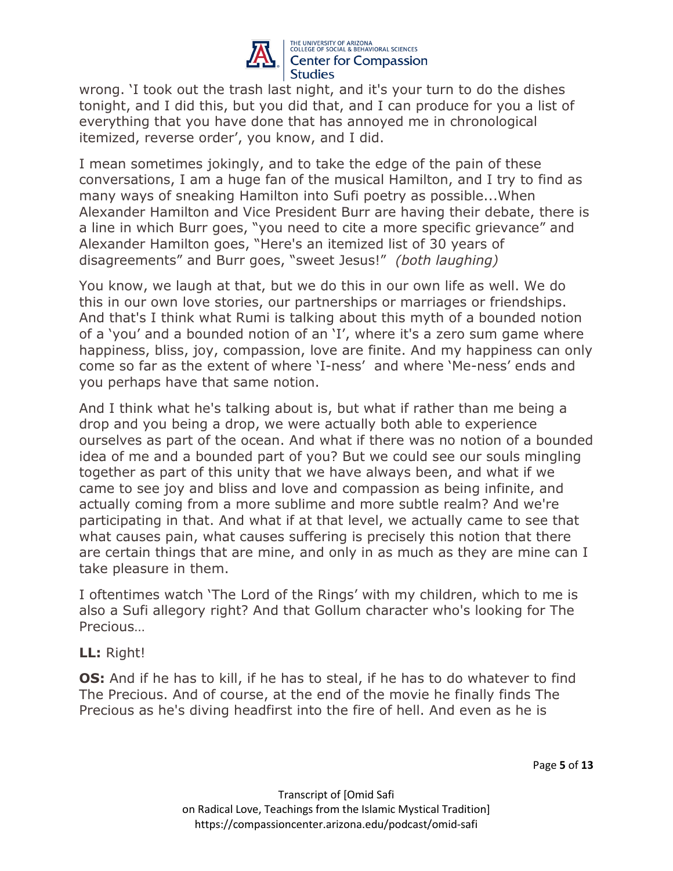

wrong. 'I took out the trash last night, and it's your turn to do the dishes tonight, and I did this, but you did that, and I can produce for you a list of everything that you have done that has annoyed me in chronological itemized, reverse order', you know, and I did.

I mean sometimes jokingly, and to take the edge of the pain of these conversations, I am a huge fan of the musical Hamilton, and I try to find as many ways of sneaking Hamilton into Sufi poetry as possible...When Alexander Hamilton and Vice President Burr are having their debate, there is a line in which Burr goes, "you need to cite a more specific grievance" and Alexander Hamilton goes, "Here's an itemized list of 30 years of disagreements" and Burr goes, "sweet Jesus!" *(both laughing)*

You know, we laugh at that, but we do this in our own life as well. We do this in our own love stories, our partnerships or marriages or friendships. And that's I think what Rumi is talking about this myth of a bounded notion of a 'you' and a bounded notion of an 'I', where it's a zero sum game where happiness, bliss, joy, compassion, love are finite. And my happiness can only come so far as the extent of where 'I-ness' and where 'Me-ness' ends and you perhaps have that same notion.

And I think what he's talking about is, but what if rather than me being a drop and you being a drop, we were actually both able to experience ourselves as part of the ocean. And what if there was no notion of a bounded idea of me and a bounded part of you? But we could see our souls mingling together as part of this unity that we have always been, and what if we came to see joy and bliss and love and compassion as being infinite, and actually coming from a more sublime and more subtle realm? And we're participating in that. And what if at that level, we actually came to see that what causes pain, what causes suffering is precisely this notion that there are certain things that are mine, and only in as much as they are mine can I take pleasure in them.

I oftentimes watch 'The Lord of the Rings' with my children, which to me is also a Sufi allegory right? And that Gollum character who's looking for The Precious…

**LL:** Right!

**OS:** And if he has to kill, if he has to steal, if he has to do whatever to find The Precious. And of course, at the end of the movie he finally finds The Precious as he's diving headfirst into the fire of hell. And even as he is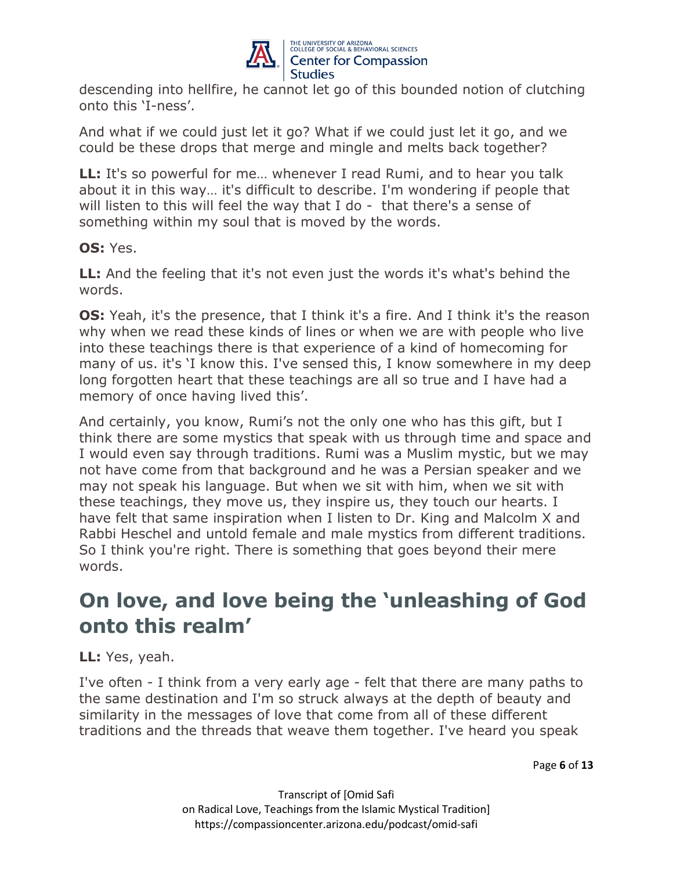

descending into hellfire, he cannot let go of this bounded notion of clutching onto this 'I-ness'.

And what if we could just let it go? What if we could just let it go, and we could be these drops that merge and mingle and melts back together?

**LL:** It's so powerful for me… whenever I read Rumi, and to hear you talk about it in this way… it's difficult to describe. I'm wondering if people that will listen to this will feel the way that I do - that there's a sense of something within my soul that is moved by the words.

### **OS:** Yes.

**LL:** And the feeling that it's not even just the words it's what's behind the words.

**OS:** Yeah, it's the presence, that I think it's a fire. And I think it's the reason why when we read these kinds of lines or when we are with people who live into these teachings there is that experience of a kind of homecoming for many of us. it's 'I know this. I've sensed this, I know somewhere in my deep long forgotten heart that these teachings are all so true and I have had a memory of once having lived this'.

And certainly, you know, Rumi's not the only one who has this gift, but I think there are some mystics that speak with us through time and space and I would even say through traditions. Rumi was a Muslim mystic, but we may not have come from that background and he was a Persian speaker and we may not speak his language. But when we sit with him, when we sit with these teachings, they move us, they inspire us, they touch our hearts. I have felt that same inspiration when I listen to Dr. King and Malcolm X and Rabbi Heschel and untold female and male mystics from different traditions. So I think you're right. There is something that goes beyond their mere words.

# **On love, and love being the 'unleashing of God onto this realm'**

**LL:** Yes, yeah.

I've often - I think from a very early age - felt that there are many paths to the same destination and I'm so struck always at the depth of beauty and similarity in the messages of love that come from all of these different traditions and the threads that weave them together. I've heard you speak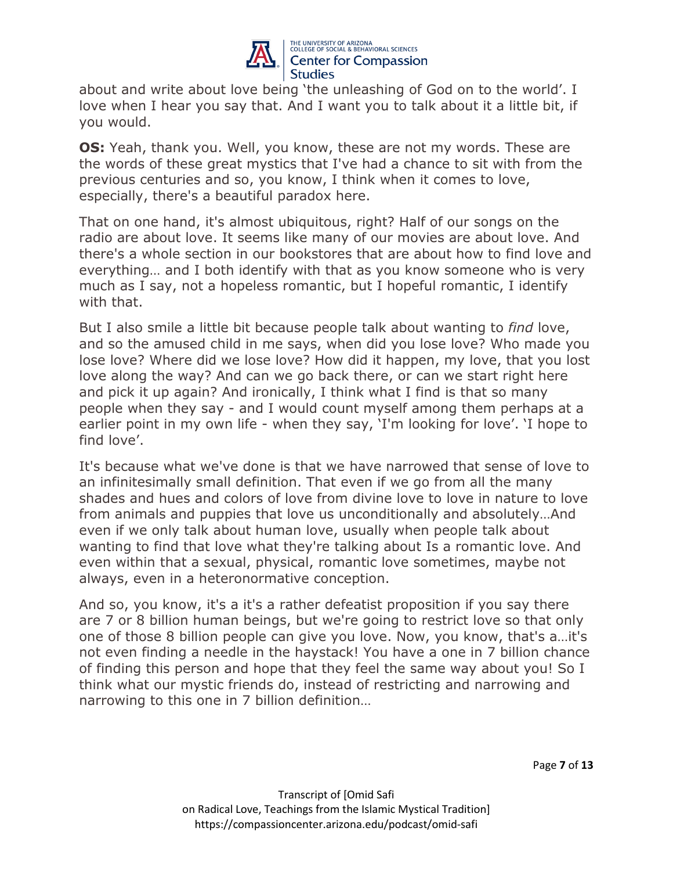

about and write about love being 'the unleashing of God on to the world'. I love when I hear you say that. And I want you to talk about it a little bit, if you would.

**OS:** Yeah, thank you. Well, you know, these are not my words. These are the words of these great mystics that I've had a chance to sit with from the previous centuries and so, you know, I think when it comes to love, especially, there's a beautiful paradox here.

That on one hand, it's almost ubiquitous, right? Half of our songs on the radio are about love. It seems like many of our movies are about love. And there's a whole section in our bookstores that are about how to find love and everything… and I both identify with that as you know someone who is very much as I say, not a hopeless romantic, but I hopeful romantic, I identify with that.

But I also smile a little bit because people talk about wanting to *find* love, and so the amused child in me says, when did you lose love? Who made you lose love? Where did we lose love? How did it happen, my love, that you lost love along the way? And can we go back there, or can we start right here and pick it up again? And ironically, I think what I find is that so many people when they say - and I would count myself among them perhaps at a earlier point in my own life - when they say, 'I'm looking for love'. 'I hope to find love'.

It's because what we've done is that we have narrowed that sense of love to an infinitesimally small definition. That even if we go from all the many shades and hues and colors of love from divine love to love in nature to love from animals and puppies that love us unconditionally and absolutely…And even if we only talk about human love, usually when people talk about wanting to find that love what they're talking about Is a romantic love. And even within that a sexual, physical, romantic love sometimes, maybe not always, even in a heteronormative conception.

And so, you know, it's a it's a rather defeatist proposition if you say there are 7 or 8 billion human beings, but we're going to restrict love so that only one of those 8 billion people can give you love. Now, you know, that's a…it's not even finding a needle in the haystack! You have a one in 7 billion chance of finding this person and hope that they feel the same way about you! So I think what our mystic friends do, instead of restricting and narrowing and narrowing to this one in 7 billion definition…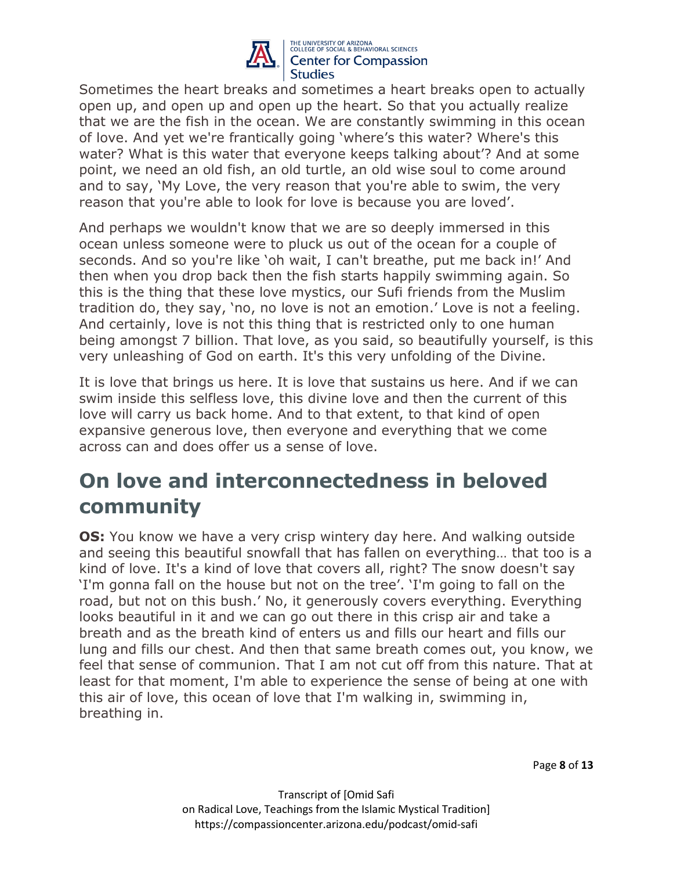

Sometimes the heart breaks and sometimes a heart breaks open to actually open up, and open up and open up the heart. So that you actually realize that we are the fish in the ocean. We are constantly swimming in this ocean of love. And yet we're frantically going 'where's this water? Where's this water? What is this water that everyone keeps talking about'? And at some point, we need an old fish, an old turtle, an old wise soul to come around and to say, 'My Love, the very reason that you're able to swim, the very reason that you're able to look for love is because you are loved'.

And perhaps we wouldn't know that we are so deeply immersed in this ocean unless someone were to pluck us out of the ocean for a couple of seconds. And so you're like 'oh wait, I can't breathe, put me back in!' And then when you drop back then the fish starts happily swimming again. So this is the thing that these love mystics, our Sufi friends from the Muslim tradition do, they say, 'no, no love is not an emotion.' Love is not a feeling. And certainly, love is not this thing that is restricted only to one human being amongst 7 billion. That love, as you said, so beautifully yourself, is this very unleashing of God on earth. It's this very unfolding of the Divine.

It is love that brings us here. It is love that sustains us here. And if we can swim inside this selfless love, this divine love and then the current of this love will carry us back home. And to that extent, to that kind of open expansive generous love, then everyone and everything that we come across can and does offer us a sense of love.

# **On love and interconnectedness in beloved community**

**OS:** You know we have a very crisp wintery day here. And walking outside and seeing this beautiful snowfall that has fallen on everything… that too is a kind of love. It's a kind of love that covers all, right? The snow doesn't say 'I'm gonna fall on the house but not on the tree'. 'I'm going to fall on the road, but not on this bush.' No, it generously covers everything. Everything looks beautiful in it and we can go out there in this crisp air and take a breath and as the breath kind of enters us and fills our heart and fills our lung and fills our chest. And then that same breath comes out, you know, we feel that sense of communion. That I am not cut off from this nature. That at least for that moment, I'm able to experience the sense of being at one with this air of love, this ocean of love that I'm walking in, swimming in, breathing in.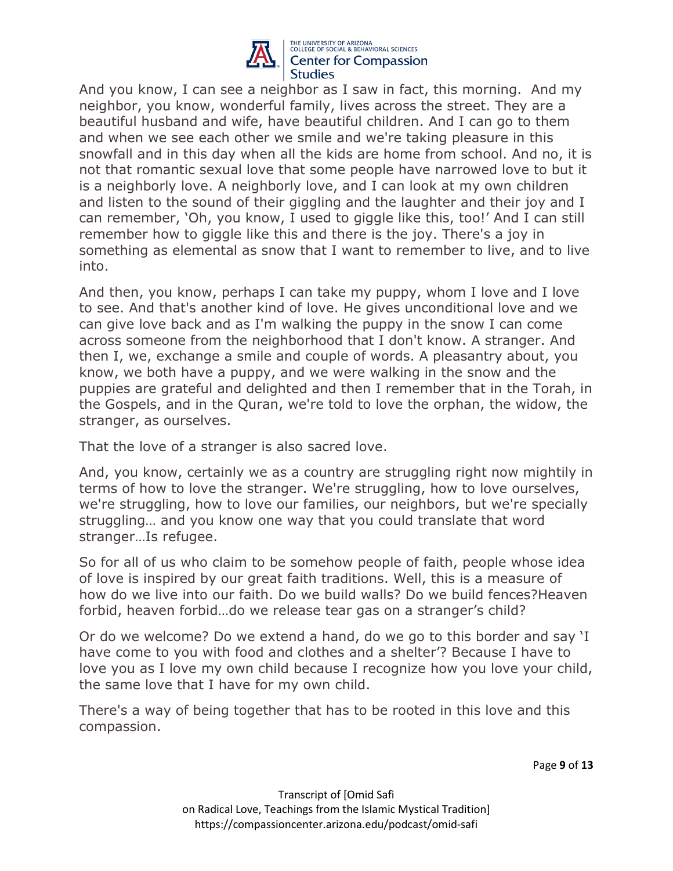

And you know, I can see a neighbor as I saw in fact, this morning. And my neighbor, you know, wonderful family, lives across the street. They are a beautiful husband and wife, have beautiful children. And I can go to them and when we see each other we smile and we're taking pleasure in this snowfall and in this day when all the kids are home from school. And no, it is not that romantic sexual love that some people have narrowed love to but it is a neighborly love. A neighborly love, and I can look at my own children and listen to the sound of their giggling and the laughter and their joy and I can remember, 'Oh, you know, I used to giggle like this, too!' And I can still remember how to giggle like this and there is the joy. There's a joy in something as elemental as snow that I want to remember to live, and to live into.

And then, you know, perhaps I can take my puppy, whom I love and I love to see. And that's another kind of love. He gives unconditional love and we can give love back and as I'm walking the puppy in the snow I can come across someone from the neighborhood that I don't know. A stranger. And then I, we, exchange a smile and couple of words. A pleasantry about, you know, we both have a puppy, and we were walking in the snow and the puppies are grateful and delighted and then I remember that in the Torah, in the Gospels, and in the Quran, we're told to love the orphan, the widow, the stranger, as ourselves.

That the love of a stranger is also sacred love.

And, you know, certainly we as a country are struggling right now mightily in terms of how to love the stranger. We're struggling, how to love ourselves, we're struggling, how to love our families, our neighbors, but we're specially struggling… and you know one way that you could translate that word stranger…Is refugee.

So for all of us who claim to be somehow people of faith, people whose idea of love is inspired by our great faith traditions. Well, this is a measure of how do we live into our faith. Do we build walls? Do we build fences?Heaven forbid, heaven forbid…do we release tear gas on a stranger's child?

Or do we welcome? Do we extend a hand, do we go to this border and say 'I have come to you with food and clothes and a shelter'? Because I have to love you as I love my own child because I recognize how you love your child, the same love that I have for my own child.

There's a way of being together that has to be rooted in this love and this compassion.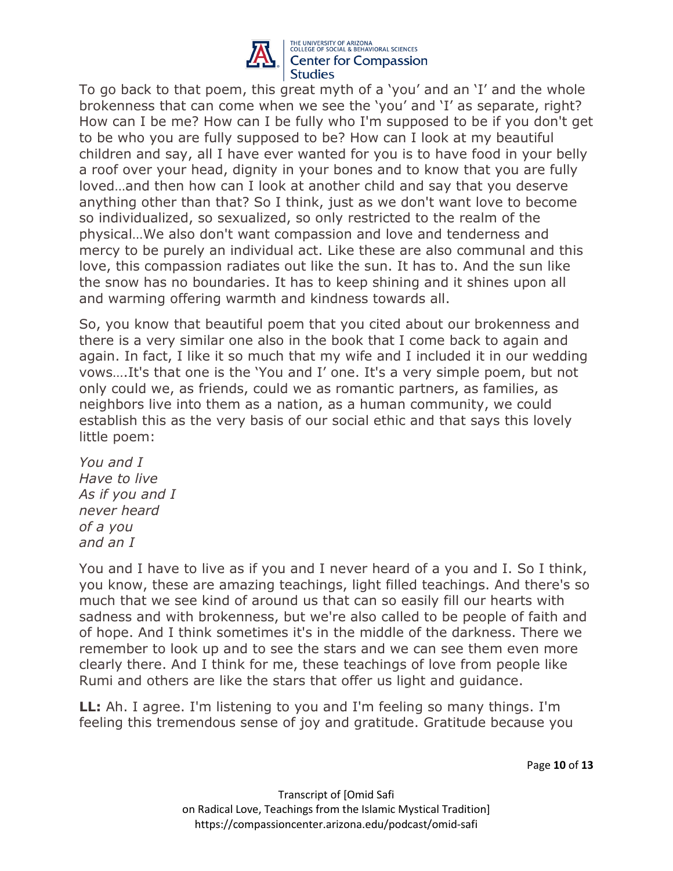

To go back to that poem, this great myth of a 'you' and an 'I' and the whole brokenness that can come when we see the 'you' and 'I' as separate, right? How can I be me? How can I be fully who I'm supposed to be if you don't get to be who you are fully supposed to be? How can I look at my beautiful children and say, all I have ever wanted for you is to have food in your belly a roof over your head, dignity in your bones and to know that you are fully loved…and then how can I look at another child and say that you deserve anything other than that? So I think, just as we don't want love to become so individualized, so sexualized, so only restricted to the realm of the physical…We also don't want compassion and love and tenderness and mercy to be purely an individual act. Like these are also communal and this love, this compassion radiates out like the sun. It has to. And the sun like the snow has no boundaries. It has to keep shining and it shines upon all and warming offering warmth and kindness towards all.

So, you know that beautiful poem that you cited about our brokenness and there is a very similar one also in the book that I come back to again and again. In fact, I like it so much that my wife and I included it in our wedding vows….It's that one is the 'You and I' one. It's a very simple poem, but not only could we, as friends, could we as romantic partners, as families, as neighbors live into them as a nation, as a human community, we could establish this as the very basis of our social ethic and that says this lovely little poem:

*You and I Have to live As if you and I never heard of a you and an I*

You and I have to live as if you and I never heard of a you and I. So I think, you know, these are amazing teachings, light filled teachings. And there's so much that we see kind of around us that can so easily fill our hearts with sadness and with brokenness, but we're also called to be people of faith and of hope. And I think sometimes it's in the middle of the darkness. There we remember to look up and to see the stars and we can see them even more clearly there. And I think for me, these teachings of love from people like Rumi and others are like the stars that offer us light and guidance.

**LL:** Ah. I agree. I'm listening to you and I'm feeling so many things. I'm feeling this tremendous sense of joy and gratitude. Gratitude because you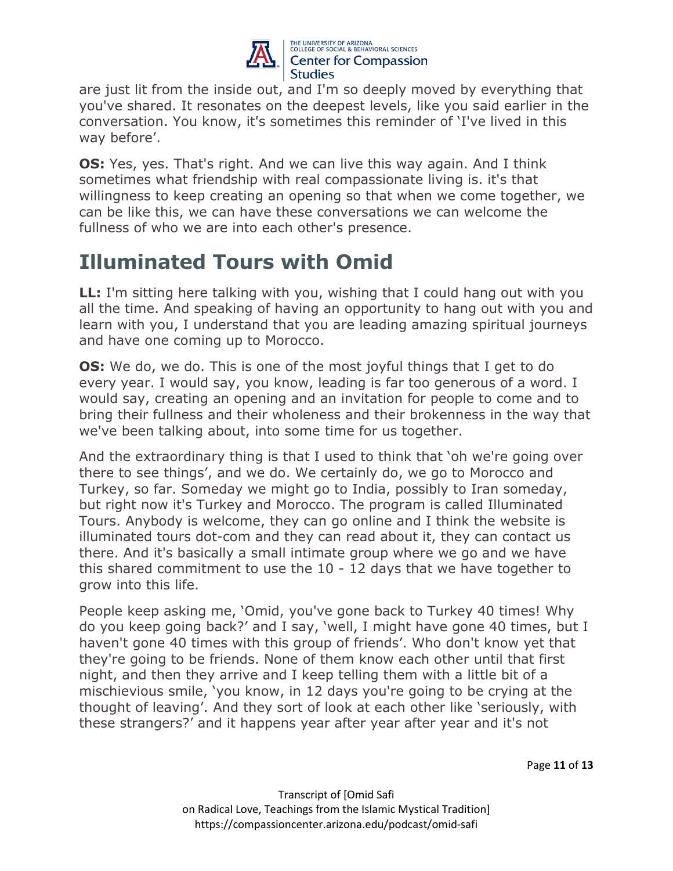

are just lit from the inside out, and I'm so deeply moved by everything that you've shared. It resonates on the deepest levels, like you said earlier in the conversation. You know, it's sometimes this reminder of 'I've lived in this way before'.

**OS:** Yes, yes. That's right. And we can live this way again. And I think sometimes what friendship with real compassionate living is. it's that willingness to keep creating an opening so that when we come together, we can be like this, we can have these conversations we can welcome the fullness of who we are into each other's presence.

# **Illuminated Tours with Omid**

**LL:** I'm sitting here talking with you, wishing that I could hang out with you all the time. And speaking of having an opportunity to hang out with you and learn with you, I understand that you are leading amazing spiritual journeys and have one coming up to Morocco.

**OS:** We do, we do. This is one of the most joyful things that I get to do every year. I would say, you know, leading is far too generous of a word. I would say, creating an opening and an invitation for people to come and to bring their fullness and their wholeness and their brokenness in the way that we've been talking about, into some time for us together.

And the extraordinary thing is that I used to think that 'oh we're going over there to see things', and we do. We certainly do, we go to Morocco and Turkey, so far. Someday we might go to India, possibly to Iran someday, but right now it's Turkey and Morocco. The program is called Illuminated Tours. Anybody is welcome, they can go online and I think the website is illuminated tours dot-com and they can read about it, they can contact us there. And it's basically a small intimate group where we go and we have this shared commitment to use the 10 - 12 days that we have together to grow into this life.

People keep asking me, 'Omid, you've gone back to Turkey 40 times! Why do you keep going back?' and I say, 'well, I might have gone 40 times, but I haven't gone 40 times with this group of friends'. Who don't know yet that they're going to be friends. None of them know each other until that first night, and then they arrive and I keep telling them with a little bit of a mischievious smile, 'you know, in 12 days you're going to be crying at the thought of leaving'. And they sort of look at each other like 'seriously, with these strangers?' and it happens year after year after year and it's not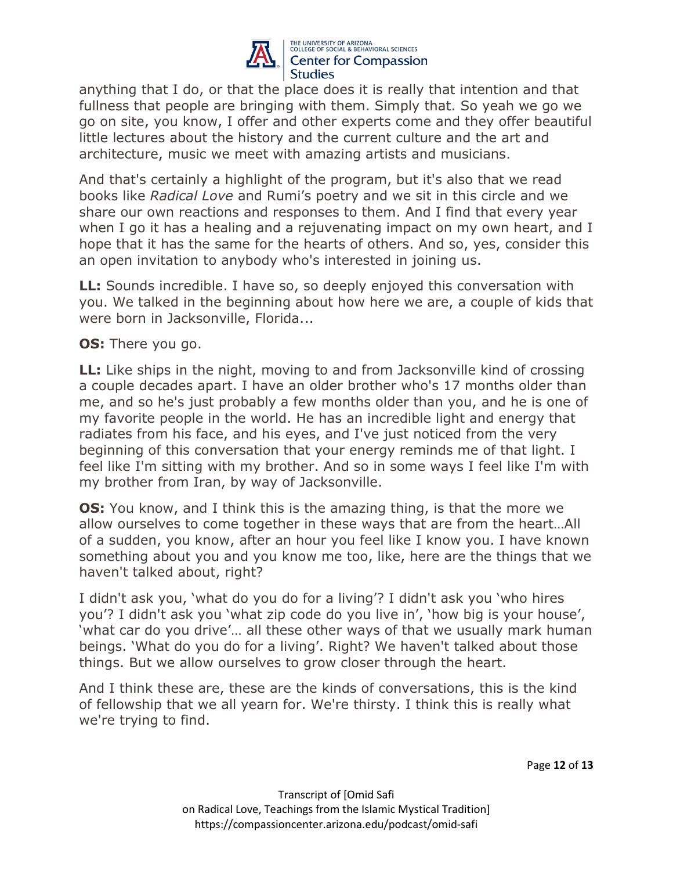

anything that I do, or that the place does it is really that intention and that fullness that people are bringing with them. Simply that. So yeah we go we go on site, you know, I offer and other experts come and they offer beautiful little lectures about the history and the current culture and the art and architecture, music we meet with amazing artists and musicians.

And that's certainly a highlight of the program, but it's also that we read books like *Radical Love* and Rumi's poetry and we sit in this circle and we share our own reactions and responses to them. And I find that every year when I go it has a healing and a rejuvenating impact on my own heart, and I hope that it has the same for the hearts of others. And so, yes, consider this an open invitation to anybody who's interested in joining us.

**LL:** Sounds incredible. I have so, so deeply enjoyed this conversation with you. We talked in the beginning about how here we are, a couple of kids that were born in Jacksonville, Florida...

**OS:** There you go.

**LL:** Like ships in the night, moving to and from Jacksonville kind of crossing a couple decades apart. I have an older brother who's 17 months older than me, and so he's just probably a few months older than you, and he is one of my favorite people in the world. He has an incredible light and energy that radiates from his face, and his eyes, and I've just noticed from the very beginning of this conversation that your energy reminds me of that light. I feel like I'm sitting with my brother. And so in some ways I feel like I'm with my brother from Iran, by way of Jacksonville.

**OS:** You know, and I think this is the amazing thing, is that the more we allow ourselves to come together in these ways that are from the heart…All of a sudden, you know, after an hour you feel like I know you. I have known something about you and you know me too, like, here are the things that we haven't talked about, right?

I didn't ask you, 'what do you do for a living'? I didn't ask you 'who hires you'? I didn't ask you 'what zip code do you live in', 'how big is your house', 'what car do you drive'… all these other ways of that we usually mark human beings. 'What do you do for a living'. Right? We haven't talked about those things. But we allow ourselves to grow closer through the heart.

And I think these are, these are the kinds of conversations, this is the kind of fellowship that we all yearn for. We're thirsty. I think this is really what we're trying to find.